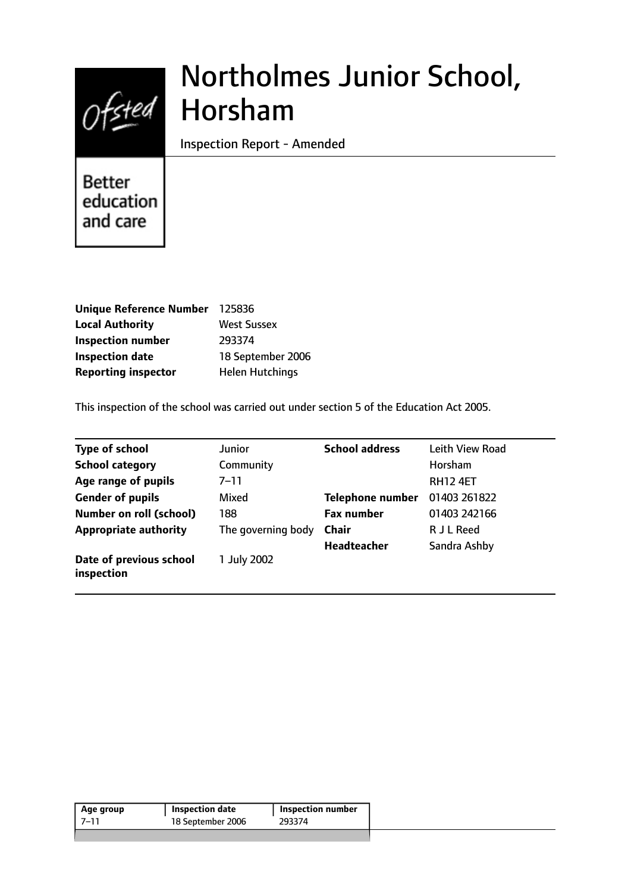

# Northolmes Junior School, Horsham

Inspection Report - Amended

**Better** education and care

| <b>Unique Reference Number</b> | 125836                 |
|--------------------------------|------------------------|
| <b>Local Authority</b>         | <b>West Sussex</b>     |
| <b>Inspection number</b>       | 293374                 |
| <b>Inspection date</b>         | 18 September 2006      |
| <b>Reporting inspector</b>     | <b>Helen Hutchings</b> |

This inspection of the school was carried out under section 5 of the Education Act 2005.

| <b>Type of school</b>                 | Junior             | <b>School address</b>   | Leith View Road |
|---------------------------------------|--------------------|-------------------------|-----------------|
| <b>School category</b>                | Community          |                         | Horsham         |
| Age range of pupils                   | $7 - 11$           |                         | <b>RH12 4ET</b> |
| <b>Gender of pupils</b>               | Mixed              | <b>Telephone number</b> | 01403 261822    |
| <b>Number on roll (school)</b>        | 188                | <b>Fax number</b>       | 01403 242166    |
| <b>Appropriate authority</b>          | The governing body | Chair                   | R J L Reed      |
|                                       |                    | <b>Headteacher</b>      | Sandra Ashby    |
| Date of previous school<br>inspection | 1 July 2002        |                         |                 |

| 18 September 2006<br>293374 | Age group | Inspection date | <b>Inspection number</b> |  |
|-----------------------------|-----------|-----------------|--------------------------|--|
|                             | 7–11      |                 |                          |  |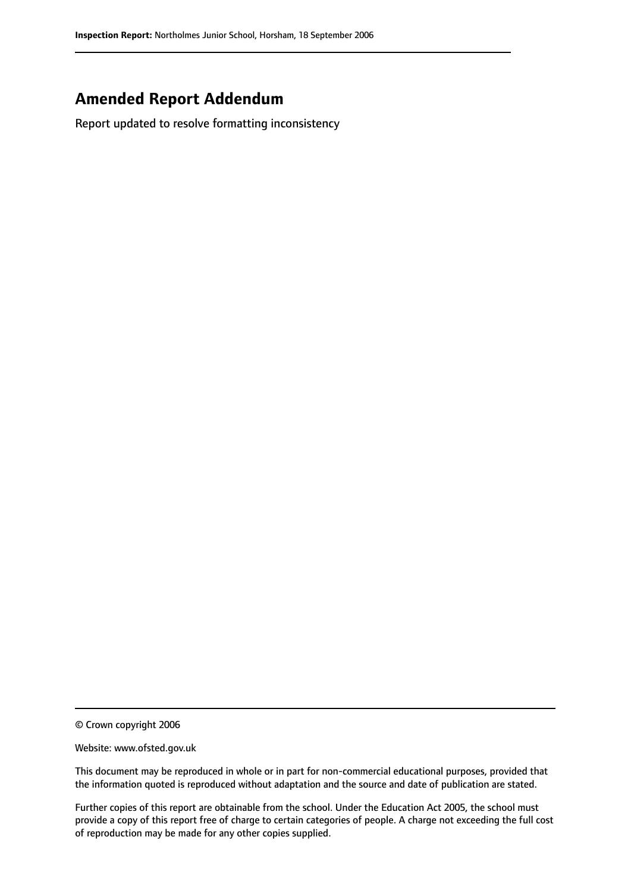# **Amended Report Addendum**

Report updated to resolve formatting inconsistency

© Crown copyright 2006

Website: www.ofsted.gov.uk

This document may be reproduced in whole or in part for non-commercial educational purposes, provided that the information quoted is reproduced without adaptation and the source and date of publication are stated.

Further copies of this report are obtainable from the school. Under the Education Act 2005, the school must provide a copy of this report free of charge to certain categories of people. A charge not exceeding the full cost of reproduction may be made for any other copies supplied.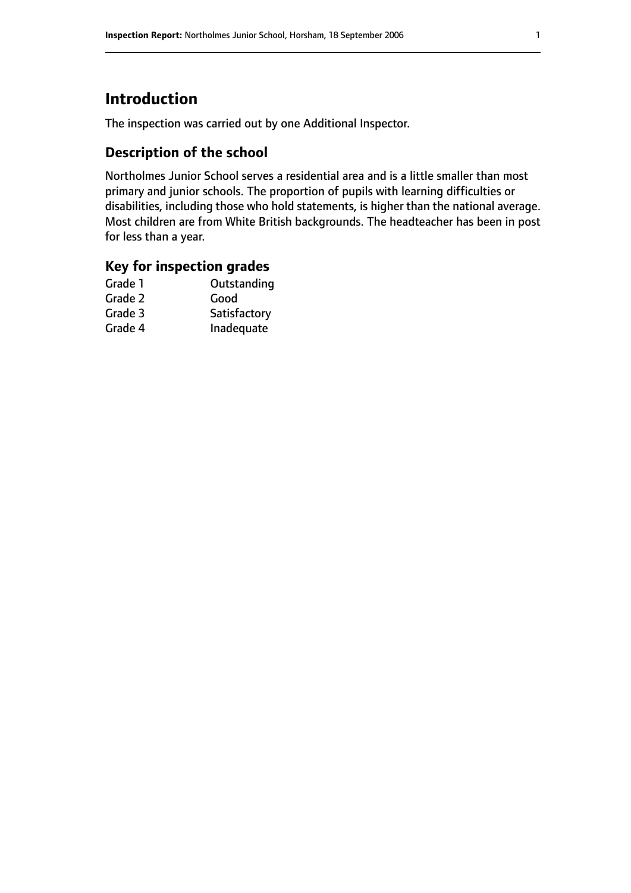# **Introduction**

The inspection was carried out by one Additional Inspector.

## **Description of the school**

Northolmes Junior School serves a residential area and is a little smaller than most primary and junior schools. The proportion of pupils with learning difficulties or disabilities, including those who hold statements, is higher than the national average. Most children are from White British backgrounds. The headteacher has been in post for less than a year.

## **Key for inspection grades**

| Good         |
|--------------|
|              |
| Satisfactory |
| Inadequate   |
|              |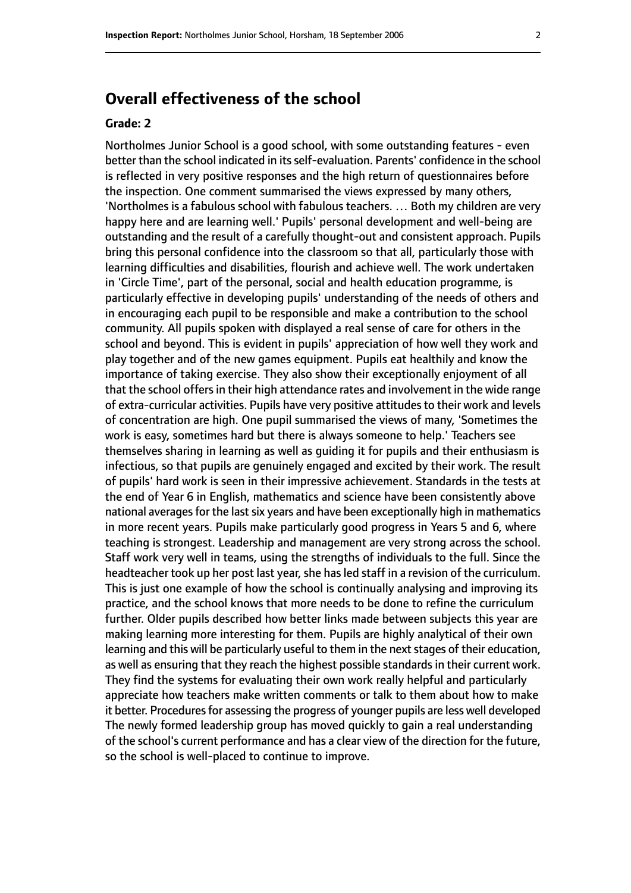# **Overall effectiveness of the school**

#### **Grade: 2**

Northolmes Junior School is a good school, with some outstanding features - even better than the school indicated in itsself-evaluation. Parents' confidence in the school is reflected in very positive responses and the high return of questionnaires before the inspection. One comment summarised the views expressed by many others, 'Northolmes is a fabulous school with fabulous teachers. … Both my children are very happy here and are learning well.' Pupils' personal development and well-being are outstanding and the result of a carefully thought-out and consistent approach. Pupils bring this personal confidence into the classroom so that all, particularly those with learning difficulties and disabilities, flourish and achieve well. The work undertaken in 'Circle Time', part of the personal, social and health education programme, is particularly effective in developing pupils' understanding of the needs of others and in encouraging each pupil to be responsible and make a contribution to the school community. All pupils spoken with displayed a real sense of care for others in the school and beyond. This is evident in pupils' appreciation of how well they work and play together and of the new games equipment. Pupils eat healthily and know the importance of taking exercise. They also show their exceptionally enjoyment of all that the school offers in their high attendance rates and involvement in the wide range of extra-curricular activities. Pupils have very positive attitudes to their work and levels of concentration are high. One pupil summarised the views of many, 'Sometimes the work is easy, sometimes hard but there is always someone to help.' Teachers see themselves sharing in learning as well as guiding it for pupils and their enthusiasm is infectious, so that pupils are genuinely engaged and excited by their work. The result of pupils' hard work is seen in their impressive achievement. Standards in the tests at the end of Year 6 in English, mathematics and science have been consistently above national averages for the last six years and have been exceptionally high in mathematics in more recent years. Pupils make particularly good progress in Years 5 and 6, where teaching is strongest. Leadership and management are very strong across the school. Staff work very well in teams, using the strengths of individuals to the full. Since the headteacher took up her post last year, she has led staff in a revision of the curriculum. This is just one example of how the school is continually analysing and improving its practice, and the school knows that more needs to be done to refine the curriculum further. Older pupils described how better links made between subjects this year are making learning more interesting for them. Pupils are highly analytical of their own learning and this will be particularly useful to them in the next stages of their education, as well as ensuring that they reach the highest possible standards in their current work. They find the systems for evaluating their own work really helpful and particularly appreciate how teachers make written comments or talk to them about how to make it better. Procedures for assessing the progress of younger pupils are less well developed The newly formed leadership group has moved quickly to gain a real understanding of the school's current performance and has a clear view of the direction for the future, so the school is well-placed to continue to improve.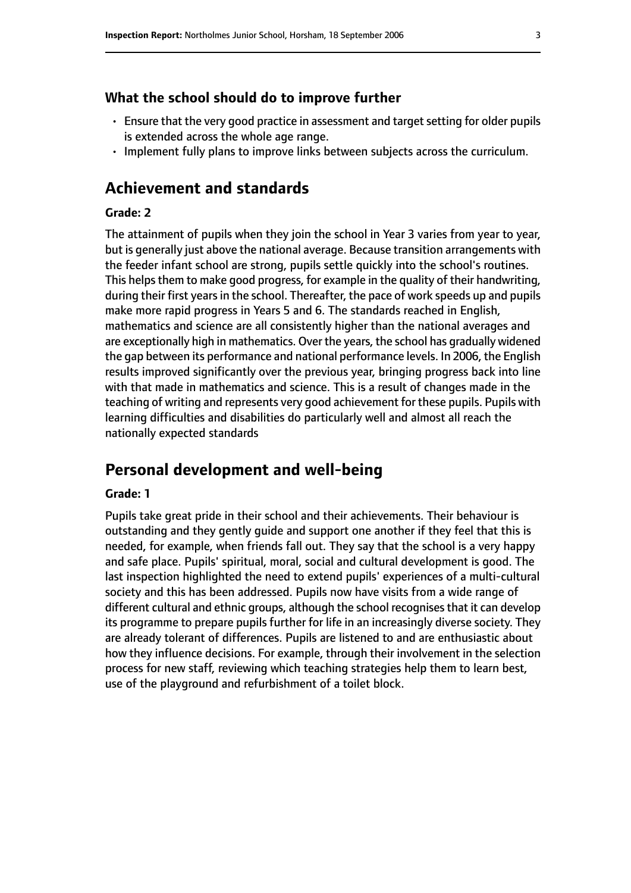#### **What the school should do to improve further**

- Ensure that the very good practice in assessment and target setting for older pupils is extended across the whole age range.
- Implement fully plans to improve links between subjects across the curriculum.

## **Achievement and standards**

#### **Grade: 2**

The attainment of pupils when they join the school in Year 3 varies from year to year, but is generally just above the national average. Because transition arrangements with the feeder infant school are strong, pupils settle quickly into the school's routines. This helps them to make good progress, for example in the quality of their handwriting, during their first years in the school. Thereafter, the pace of work speeds up and pupils make more rapid progress in Years 5 and 6. The standards reached in English, mathematics and science are all consistently higher than the national averages and are exceptionally high in mathematics. Over the years, the school has gradually widened the gap between its performance and national performance levels. In 2006, the English results improved significantly over the previous year, bringing progress back into line with that made in mathematics and science. This is a result of changes made in the teaching of writing and represents very good achievement for these pupils. Pupils with learning difficulties and disabilities do particularly well and almost all reach the nationally expected standards

## **Personal development and well-being**

#### **Grade: 1**

Pupils take great pride in their school and their achievements. Their behaviour is outstanding and they gently guide and support one another if they feel that this is needed, for example, when friends fall out. They say that the school is a very happy and safe place. Pupils' spiritual, moral, social and cultural development is good. The last inspection highlighted the need to extend pupils' experiences of a multi-cultural society and this has been addressed. Pupils now have visits from a wide range of different cultural and ethnic groups, although the school recognises that it can develop its programme to prepare pupils further for life in an increasingly diverse society. They are already tolerant of differences. Pupils are listened to and are enthusiastic about how they influence decisions. For example, through their involvement in the selection process for new staff, reviewing which teaching strategies help them to learn best, use of the playground and refurbishment of a toilet block.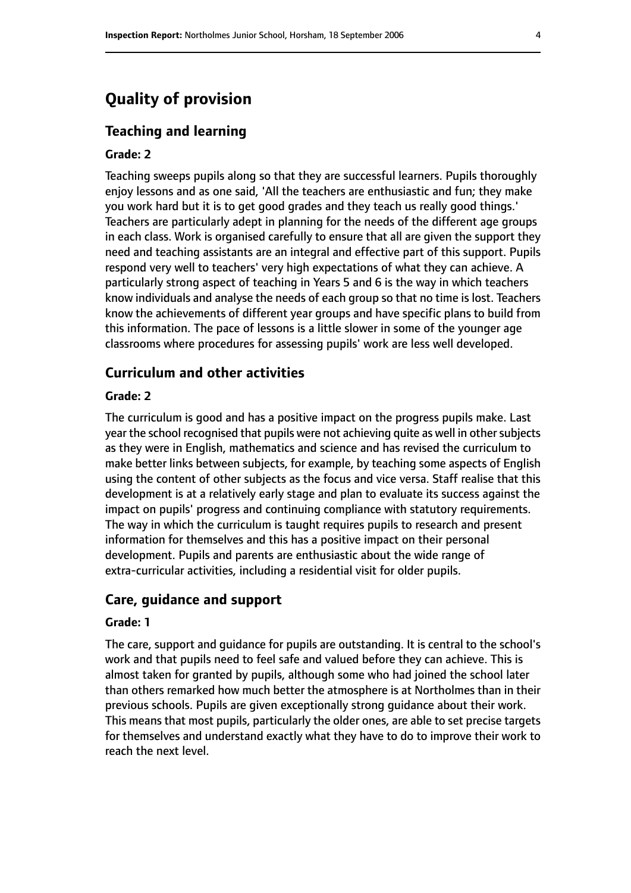# **Quality of provision**

#### **Teaching and learning**

#### **Grade: 2**

Teaching sweeps pupils along so that they are successful learners. Pupils thoroughly enjoy lessons and as one said, 'All the teachers are enthusiastic and fun; they make you work hard but it is to get good grades and they teach us really good things.' Teachers are particularly adept in planning for the needs of the different age groups in each class. Work is organised carefully to ensure that all are given the support they need and teaching assistants are an integral and effective part of this support. Pupils respond very well to teachers' very high expectations of what they can achieve. A particularly strong aspect of teaching in Years 5 and 6 is the way in which teachers know individuals and analyse the needs of each group so that no time is lost. Teachers know the achievements of different year groups and have specific plans to build from this information. The pace of lessons is a little slower in some of the younger age classrooms where procedures for assessing pupils' work are less well developed.

#### **Curriculum and other activities**

#### **Grade: 2**

The curriculum is good and has a positive impact on the progress pupils make. Last year the school recognised that pupils were not achieving quite as well in other subjects as they were in English, mathematics and science and has revised the curriculum to make better links between subjects, for example, by teaching some aspects of English using the content of other subjects as the focus and vice versa. Staff realise that this development is at a relatively early stage and plan to evaluate its success against the impact on pupils' progress and continuing compliance with statutory requirements. The way in which the curriculum is taught requires pupils to research and present information for themselves and this has a positive impact on their personal development. Pupils and parents are enthusiastic about the wide range of extra-curricular activities, including a residential visit for older pupils.

#### **Care, guidance and support**

#### **Grade: 1**

The care, support and guidance for pupils are outstanding. It is central to the school's work and that pupils need to feel safe and valued before they can achieve. This is almost taken for granted by pupils, although some who had joined the school later than others remarked how much better the atmosphere is at Northolmes than in their previous schools. Pupils are given exceptionally strong guidance about their work. This means that most pupils, particularly the older ones, are able to set precise targets for themselves and understand exactly what they have to do to improve their work to reach the next level.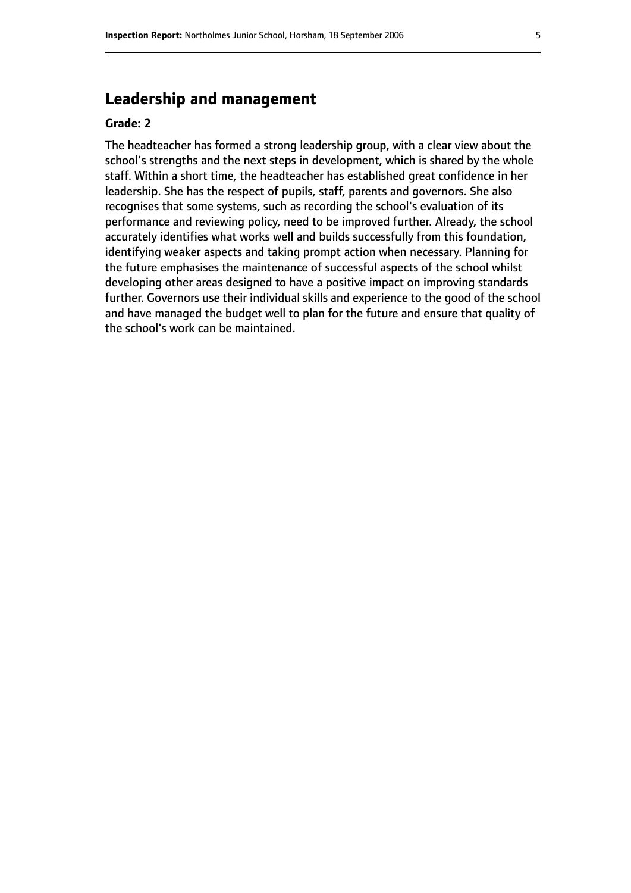# **Leadership and management**

#### **Grade: 2**

The headteacher has formed a strong leadership group, with a clear view about the school's strengths and the next steps in development, which is shared by the whole staff. Within a short time, the headteacher has established great confidence in her leadership. She has the respect of pupils, staff, parents and governors. She also recognises that some systems, such as recording the school's evaluation of its performance and reviewing policy, need to be improved further. Already, the school accurately identifies what works well and builds successfully from this foundation, identifying weaker aspects and taking prompt action when necessary. Planning for the future emphasises the maintenance of successful aspects of the school whilst developing other areas designed to have a positive impact on improving standards further. Governors use their individual skills and experience to the good of the school and have managed the budget well to plan for the future and ensure that quality of the school's work can be maintained.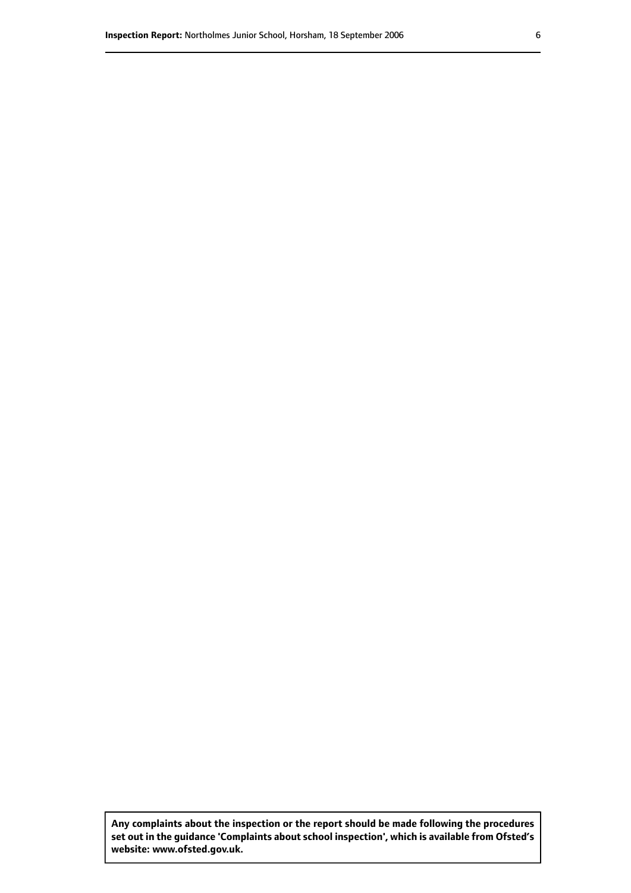**Any complaints about the inspection or the report should be made following the procedures set out inthe guidance 'Complaints about school inspection', whichis available from Ofsted's website: www.ofsted.gov.uk.**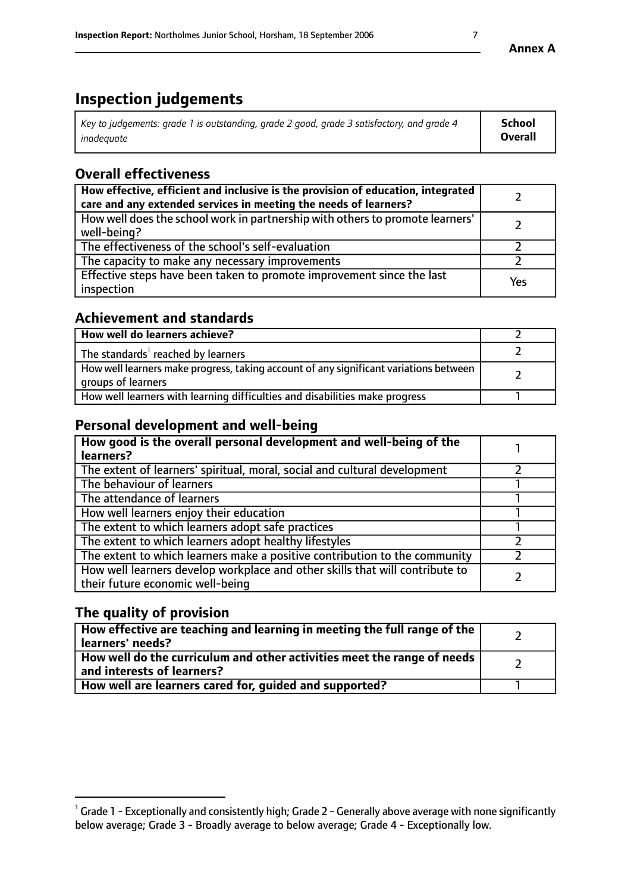# **Inspection judgements**

| Key to judgements: grade 1 is outstanding, grade 2 good, grade 3 satisfactory, and grade 4 | School         |
|--------------------------------------------------------------------------------------------|----------------|
| inadeauate                                                                                 | <b>Overall</b> |

# **Overall effectiveness**

| How effective, efficient and inclusive is the provision of education, integrated<br>care and any extended services in meeting the needs of learners? |     |
|------------------------------------------------------------------------------------------------------------------------------------------------------|-----|
| How well does the school work in partnership with others to promote learners'<br>well-being?                                                         |     |
| The effectiveness of the school's self-evaluation                                                                                                    |     |
| The capacity to make any necessary improvements                                                                                                      |     |
| Effective steps have been taken to promote improvement since the last<br>inspection                                                                  | Yes |

## **Achievement and standards**

| How well do learners achieve?                                                                               |  |
|-------------------------------------------------------------------------------------------------------------|--|
| The standards <sup>1</sup> reached by learners                                                              |  |
| How well learners make progress, taking account of any significant variations between<br>groups of learners |  |
| How well learners with learning difficulties and disabilities make progress                                 |  |

## **Personal development and well-being**

| How good is the overall personal development and well-being of the<br>learners?                                  |  |
|------------------------------------------------------------------------------------------------------------------|--|
| The extent of learners' spiritual, moral, social and cultural development                                        |  |
| The behaviour of learners                                                                                        |  |
| The attendance of learners                                                                                       |  |
| How well learners enjoy their education                                                                          |  |
| The extent to which learners adopt safe practices                                                                |  |
| The extent to which learners adopt healthy lifestyles                                                            |  |
| The extent to which learners make a positive contribution to the community                                       |  |
| How well learners develop workplace and other skills that will contribute to<br>their future economic well-being |  |

# **The quality of provision**

| How effective are teaching and learning in meeting the full range of the<br>learners' needs?                        |  |
|---------------------------------------------------------------------------------------------------------------------|--|
| $\mid$ How well do the curriculum and other activities meet the range of needs $\mid$<br>and interests of learners? |  |
| How well are learners cared for, quided and supported?                                                              |  |

 $^1$  Grade 1 - Exceptionally and consistently high; Grade 2 - Generally above average with none significantly below average; Grade 3 - Broadly average to below average; Grade 4 - Exceptionally low.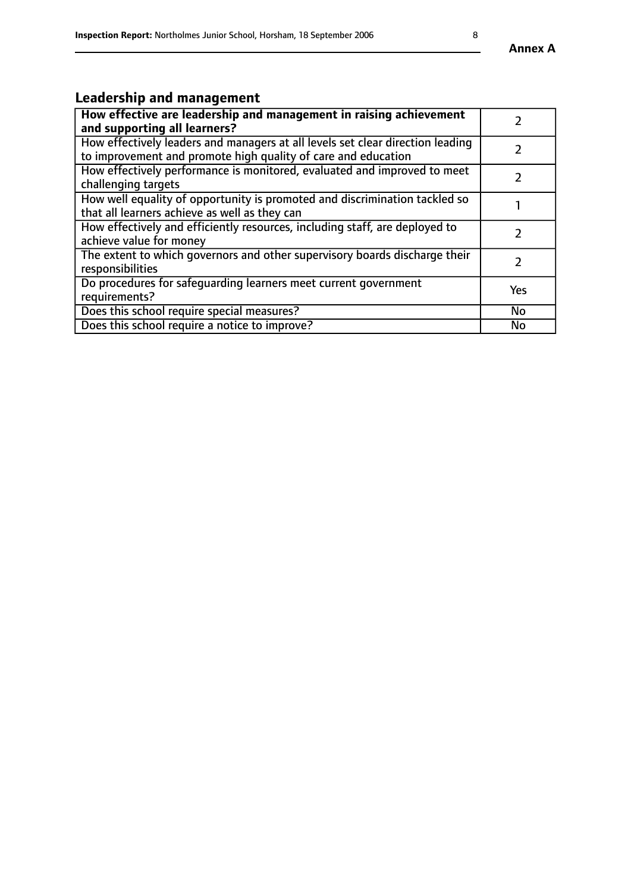# **Leadership and management**

| How effective are leadership and management in raising achievement<br>and supporting all learners?                                              |               |
|-------------------------------------------------------------------------------------------------------------------------------------------------|---------------|
| How effectively leaders and managers at all levels set clear direction leading<br>to improvement and promote high quality of care and education |               |
| How effectively performance is monitored, evaluated and improved to meet<br>challenging targets                                                 |               |
| How well equality of opportunity is promoted and discrimination tackled so<br>that all learners achieve as well as they can                     |               |
| How effectively and efficiently resources, including staff, are deployed to<br>achieve value for money                                          | $\mathcal{P}$ |
| The extent to which governors and other supervisory boards discharge their<br>responsibilities                                                  |               |
| Do procedures for safequarding learners meet current government<br>requirements?                                                                | Yes           |
| Does this school require special measures?                                                                                                      | No            |
| Does this school require a notice to improve?                                                                                                   | <b>No</b>     |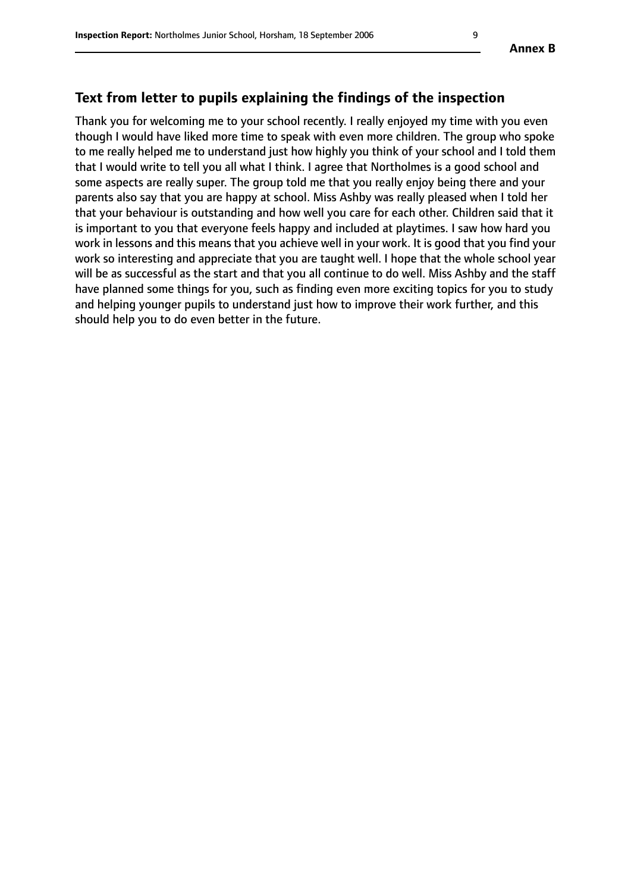## **Text from letter to pupils explaining the findings of the inspection**

Thank you for welcoming me to your school recently. I really enjoyed my time with you even though I would have liked more time to speak with even more children. The group who spoke to me really helped me to understand just how highly you think of your school and I told them that I would write to tell you all what I think. I agree that Northolmes is a good school and some aspects are really super. The group told me that you really enjoy being there and your parents also say that you are happy at school. Miss Ashby was really pleased when I told her that your behaviour is outstanding and how well you care for each other. Children said that it is important to you that everyone feels happy and included at playtimes. I saw how hard you work in lessons and this means that you achieve well in your work. It is good that you find your work so interesting and appreciate that you are taught well. I hope that the whole school year will be as successful as the start and that you all continue to do well. Miss Ashby and the staff have planned some things for you, such as finding even more exciting topics for you to study and helping younger pupils to understand just how to improve their work further, and this should help you to do even better in the future.